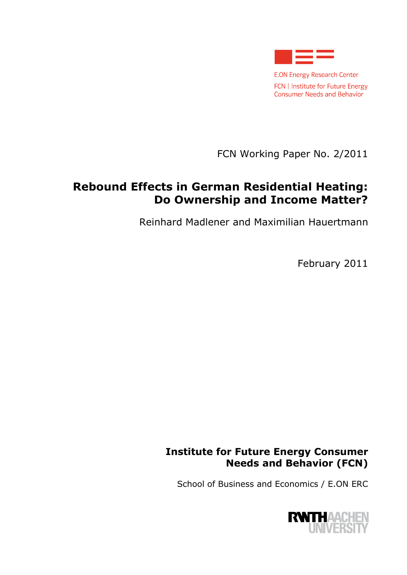

**E.ON Energy Research Center** FCN | Institute for Future Energy **Consumer Needs and Behavior** 

FCN Working Paper No. 2/2011

# **Rebound Effects in German Residential Heating: Do Ownership and Income Matter?**

Reinhard Madlener and Maximilian Hauertmann

February 2011

## **Institute for Future Energy Consumer Needs and Behavior (FCN)**

School of Business and Economics / E.ON ERC

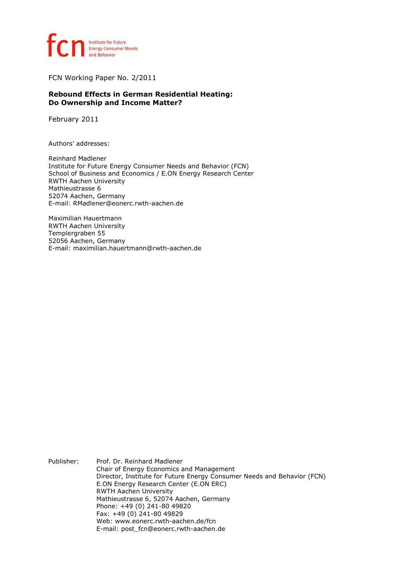

FCN Working Paper No. 2/2011

#### **Rebound Effects in German Residential Heating: Do Ownership and Income Matter?**

February 2011

Authors' addresses:

Reinhard Madlener Institute for Future Energy Consumer Needs and Behavior (FCN) School of Business and Economics / E.ON Energy Research Center RWTH Aachen University Mathieustrasse 6 52074 Aachen, Germany E-mail: RMadlener@eonerc.rwth-aachen.de

Maximilian Hauertmann RWTH Aachen University Templergraben 55 52056 Aachen, Germany E-mail: maximilian.hauertmann@rwth-aachen.de

Publisher: Prof. Dr. Reinhard Madlener Chair of Energy Economics and Management Director, Institute for Future Energy Consumer Needs and Behavior (FCN) E.ON Energy Research Center (E.ON ERC) RWTH Aachen University Mathieustrasse 6, 52074 Aachen, Germany Phone: +49 (0) 241-80 49820 Fax: +49 (0) 241-80 49829 Web: www.eonerc.rwth-aachen.de/fcn E-mail: post\_fcn@eonerc.rwth-aachen.de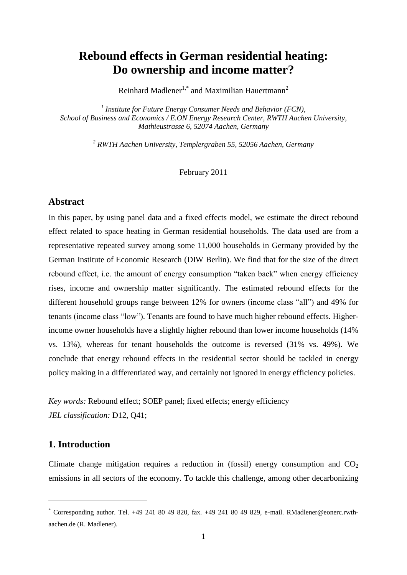## **Rebound effects in German residential heating: Do ownership and income matter?**

Reinhard Madlener<sup>1,\*</sup> and Maximilian Hauertmann<sup>2</sup>

*1 Institute for Future Energy Consumer Needs and Behavior (FCN), School of Business and Economics / E.ON Energy Research Center, RWTH Aachen University, Mathieustrasse 6, 52074 Aachen, Germany*

*<sup>2</sup> RWTH Aachen University, Templergraben 55, 52056 Aachen, Germany*

February 2011

## **Abstract**

In this paper, by using panel data and a fixed effects model, we estimate the direct rebound effect related to space heating in German residential households. The data used are from a representative repeated survey among some 11,000 households in Germany provided by the German Institute of Economic Research (DIW Berlin). We find that for the size of the direct rebound effect, i.e. the amount of energy consumption "taken back" when energy efficiency rises, income and ownership matter significantly. The estimated rebound effects for the different household groups range between 12% for owners (income class "all") and 49% for tenants (income class "low"). Tenants are found to have much higher rebound effects. Higherincome owner households have a slightly higher rebound than lower income households (14% vs. 13%), whereas for tenant households the outcome is reversed (31% vs. 49%). We conclude that energy rebound effects in the residential sector should be tackled in energy policy making in a differentiated way, and certainly not ignored in energy efficiency policies.

*Key words:* Rebound effect; SOEP panel; fixed effects; energy efficiency *JEL classification:* D12, Q41;

## **1. Introduction**

 $\overline{a}$ 

Climate change mitigation requires a reduction in (fossil) energy consumption and  $CO<sub>2</sub>$ emissions in all sectors of the economy. To tackle this challenge, among other decarbonizing

 $*$  Corresponding author. Tel. +49 241 80 49 820, fax. +49 241 80 49 829, e-mail. RMadlener@eonerc.rwthaachen.de (R. Madlener).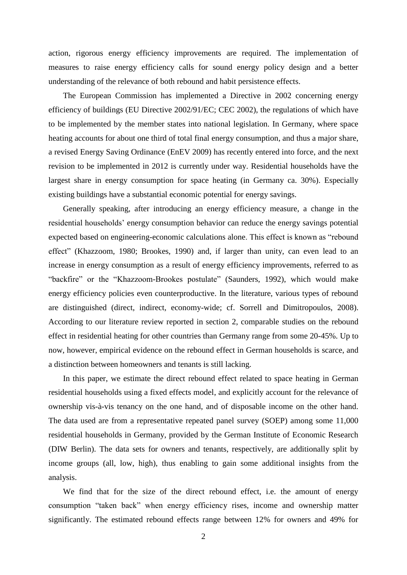action, rigorous energy efficiency improvements are required. The implementation of measures to raise energy efficiency calls for sound energy policy design and a better understanding of the relevance of both rebound and habit persistence effects.

The European Commission has implemented a Directive in 2002 concerning energy efficiency of buildings (EU Directive 2002/91/EC; CEC 2002), the regulations of which have to be implemented by the member states into national legislation. In Germany, where space heating accounts for about one third of total final energy consumption, and thus a major share, a revised Energy Saving Ordinance (EnEV 2009) has recently entered into force, and the next revision to be implemented in 2012 is currently under way. Residential households have the largest share in energy consumption for space heating (in Germany ca. 30%). Especially existing buildings have a substantial economic potential for energy savings.

Generally speaking, after introducing an energy efficiency measure, a change in the residential households" energy consumption behavior can reduce the energy savings potential expected based on engineering-economic calculations alone. This effect is known as "rebound effect" (Khazzoom, 1980; Brookes, 1990) and, if larger than unity, can even lead to an increase in energy consumption as a result of energy efficiency improvements, referred to as "backfire" or the "Khazzoom-Brookes postulate" (Saunders, 1992), which would make energy efficiency policies even counterproductive. In the literature, various types of rebound are distinguished (direct, indirect, economy-wide; cf. Sorrell and Dimitropoulos, 2008). According to our literature review reported in section 2, comparable studies on the rebound effect in residential heating for other countries than Germany range from some 20-45%. Up to now, however, empirical evidence on the rebound effect in German households is scarce, and a distinction between homeowners and tenants is still lacking.

In this paper, we estimate the direct rebound effect related to space heating in German residential households using a fixed effects model, and explicitly account for the relevance of ownership vis-à-vis tenancy on the one hand, and of disposable income on the other hand. The data used are from a representative repeated panel survey (SOEP) among some 11,000 residential households in Germany, provided by the German Institute of Economic Research (DIW Berlin). The data sets for owners and tenants, respectively, are additionally split by income groups (all, low, high), thus enabling to gain some additional insights from the analysis.

We find that for the size of the direct rebound effect, i.e. the amount of energy consumption "taken back" when energy efficiency rises, income and ownership matter significantly. The estimated rebound effects range between 12% for owners and 49% for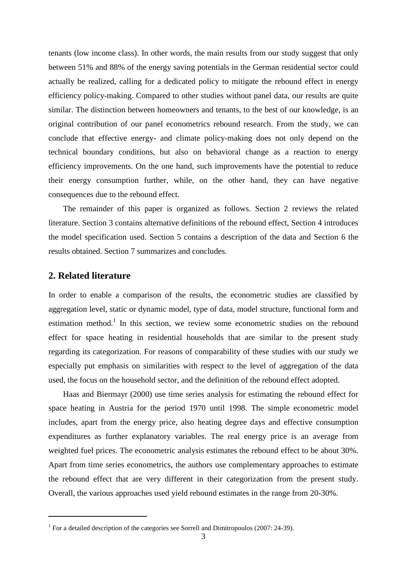tenants (low income class). In other words, the main results from our study suggest that only between 51% and 88% of the energy saving potentials in the German residential sector could actually be realized, calling for a dedicated policy to mitigate the rebound effect in energy efficiency policy-making. Compared to other studies without panel data, our results are quite similar. The distinction between homeowners and tenants, to the best of our knowledge, is an original contribution of our panel econometrics rebound research. From the study, we can conclude that effective energy- and climate policy-making does not only depend on the technical boundary conditions, but also on behavioral change as a reaction to energy efficiency improvements. On the one hand, such improvements have the potential to reduce their energy consumption further, while, on the other hand, they can have negative consequences due to the rebound effect.

The remainder of this paper is organized as follows. Section 2 reviews the related literature. Section 3 contains alternative definitions of the rebound effect, Section 4 introduces the model specification used. Section 5 contains a description of the data and Section 6 the results obtained. Section 7 summarizes and concludes.

## **2. Related literature**

 $\overline{a}$ 

In order to enable a comparison of the results, the econometric studies are classified by aggregation level, static or dynamic model, type of data, model structure, functional form and estimation method.<sup>1</sup> In this section, we review some econometric studies on the rebound effect for space heating in residential households that are similar to the present study regarding its categorization. For reasons of comparability of these studies with our study we especially put emphasis on similarities with respect to the level of aggregation of the data used, the focus on the household sector, and the definition of the rebound effect adopted.

Haas and Biermayr (2000) use time series analysis for estimating the rebound effect for space heating in Austria for the period 1970 until 1998. The simple econometric model includes, apart from the energy price, also heating degree days and effective consumption expenditures as further explanatory variables. The real energy price is an average from weighted fuel prices. The econometric analysis estimates the rebound effect to be about 30%. Apart from time series econometrics, the authors use complementary approaches to estimate the rebound effect that are very different in their categorization from the present study. Overall, the various approaches used yield rebound estimates in the range from 20-30%.

<sup>&</sup>lt;sup>1</sup> For a detailed description of the categories see Sorrell and Dimitropoulos (2007: 24-39).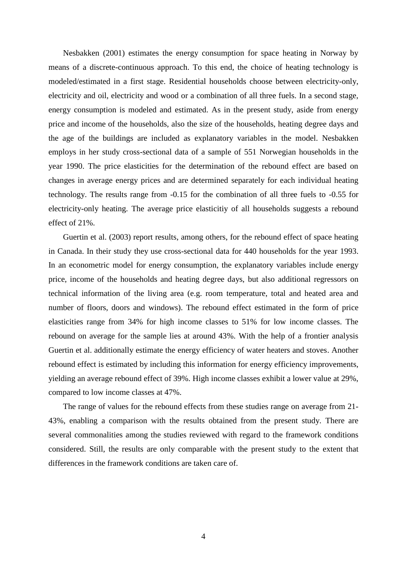Nesbakken (2001) estimates the energy consumption for space heating in Norway by means of a discrete-continuous approach. To this end, the choice of heating technology is modeled/estimated in a first stage. Residential households choose between electricity-only, electricity and oil, electricity and wood or a combination of all three fuels. In a second stage, energy consumption is modeled and estimated. As in the present study, aside from energy price and income of the households, also the size of the households, heating degree days and the age of the buildings are included as explanatory variables in the model. Nesbakken employs in her study cross-sectional data of a sample of 551 Norwegian households in the year 1990. The price elasticities for the determination of the rebound effect are based on changes in average energy prices and are determined separately for each individual heating technology. The results range from -0.15 for the combination of all three fuels to -0.55 for electricity-only heating. The average price elasticitiy of all households suggests a rebound effect of 21%.

Guertin et al. (2003) report results, among others, for the rebound effect of space heating in Canada. In their study they use cross-sectional data for 440 households for the year 1993. In an econometric model for energy consumption, the explanatory variables include energy price, income of the households and heating degree days, but also additional regressors on technical information of the living area (e.g. room temperature, total and heated area and number of floors, doors and windows). The rebound effect estimated in the form of price elasticities range from 34% for high income classes to 51% for low income classes. The rebound on average for the sample lies at around 43%. With the help of a frontier analysis Guertin et al. additionally estimate the energy efficiency of water heaters and stoves. Another rebound effect is estimated by including this information for energy efficiency improvements, yielding an average rebound effect of 39%. High income classes exhibit a lower value at 29%, compared to low income classes at 47%.

The range of values for the rebound effects from these studies range on average from 21- 43%, enabling a comparison with the results obtained from the present study. There are several commonalities among the studies reviewed with regard to the framework conditions considered. Still, the results are only comparable with the present study to the extent that differences in the framework conditions are taken care of.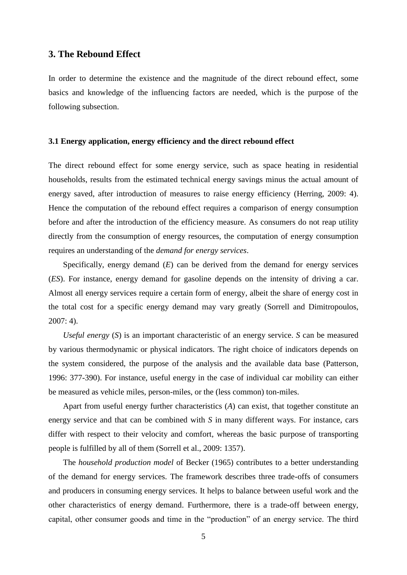## **3. The Rebound Effect**

In order to determine the existence and the magnitude of the direct rebound effect, some basics and knowledge of the influencing factors are needed, which is the purpose of the following subsection.

#### **3.1 Energy application, energy efficiency and the direct rebound effect**

The direct rebound effect for some energy service, such as space heating in residential households, results from the estimated technical energy savings minus the actual amount of energy saved, after introduction of measures to raise energy efficiency (Herring, 2009: 4). Hence the computation of the rebound effect requires a comparison of energy consumption before and after the introduction of the efficiency measure. As consumers do not reap utility directly from the consumption of energy resources, the computation of energy consumption requires an understanding of the *demand for energy services*.

Specifically, energy demand (*E*) can be derived from the demand for energy services (*ES*). For instance, energy demand for gasoline depends on the intensity of driving a car. Almost all energy services require a certain form of energy, albeit the share of energy cost in the total cost for a specific energy demand may vary greatly (Sorrell and Dimitropoulos, 2007: 4).

*Useful energy* (*S*) is an important characteristic of an energy service. *S* can be measured by various thermodynamic or physical indicators. The right choice of indicators depends on the system considered, the purpose of the analysis and the available data base (Patterson, 1996: 377-390). For instance, useful energy in the case of individual car mobility can either be measured as vehicle miles, person-miles, or the (less common) ton-miles.

Apart from useful energy further characteristics (*A*) can exist, that together constitute an energy service and that can be combined with *S* in many different ways. For instance, cars differ with respect to their velocity and comfort, whereas the basic purpose of transporting people is fulfilled by all of them (Sorrell et al., 2009: 1357).

The *household production model* of Becker (1965) contributes to a better understanding of the demand for energy services. The framework describes three trade-offs of consumers and producers in consuming energy services. It helps to balance between useful work and the other characteristics of energy demand. Furthermore, there is a trade-off between energy, capital, other consumer goods and time in the "production" of an energy service. The third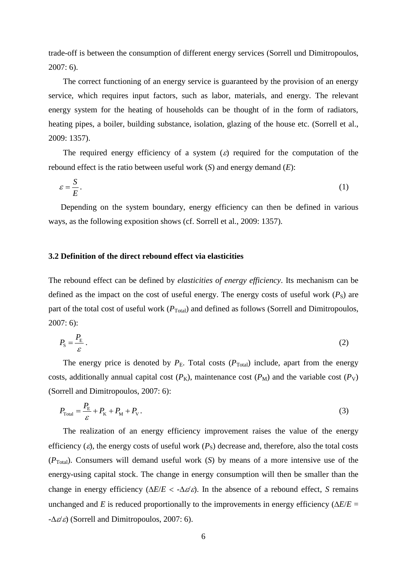trade-off is between the consumption of different energy services (Sorrell und Dimitropoulos, 2007: 6).

The correct functioning of an energy service is guaranteed by the provision of an energy service, which requires input factors, such as labor, materials, and energy. The relevant energy system for the heating of households can be thought of in the form of radiators, heating pipes, a boiler, building substance, isolation, glazing of the house etc. (Sorrell et al., 2009: 1357).

The required energy efficiency of a system  $(\varepsilon)$  required for the computation of the rebound effect is the ratio between useful work (*S*) and energy demand (*E*):

$$
\varepsilon = \frac{S}{E}.\tag{1}
$$

Depending on the system boundary, energy efficiency can then be defined in various ways, as the following exposition shows (cf. Sorrell et al., 2009: 1357).

#### **3.2 Definition of the direct rebound effect via elasticities**

The rebound effect can be defined by *elasticities of energy efficiency*. Its mechanism can be defined as the impact on the cost of useful energy. The energy costs of useful work  $(P<sub>S</sub>)$  are part of the total cost of useful work ( $P_{\text{Total}}$ ) and defined as follows (Sorrell and Dimitropoulos, 2007: 6):

$$
P_{\rm s} = \frac{P_{\rm E}}{\varepsilon} \,. \tag{2}
$$

The energy price is denoted by  $P_{\rm E}$ . Total costs ( $P_{\rm Total}$ ) include, apart from the energy costs, additionally annual capital cost  $(P_K)$ , maintenance cost  $(P_M)$  and the variable cost  $(P_V)$ (Sorrell and Dimitropoulos, 2007: 6):

$$
P_{\text{Total}} = \frac{P_{\text{E}}}{\varepsilon} + P_{\text{K}} + P_{\text{M}} + P_{\text{V}}.
$$
\n(3)

The realization of an energy efficiency improvement raises the value of the energy efficiency  $(\varepsilon)$ , the energy costs of useful work  $(P_s)$  decrease and, therefore, also the total costs (*P*Total). Consumers will demand useful work (*S*) by means of a more intensive use of the energy-using capital stock. The change in energy consumption will then be smaller than the change in energy efficiency ( $\Delta E/E < -\Delta \varepsilon/\varepsilon$ ). In the absence of a rebound effect, *S* remains unchanged and *E* is reduced proportionally to the improvements in energy efficiency ( $\Delta E/E =$  $-\Delta \varepsilon/\varepsilon$  (Sorrell and Dimitropoulos, 2007: 6).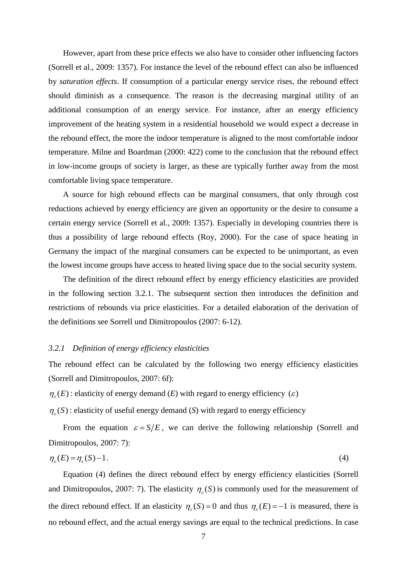However, apart from these price effects we also have to consider other influencing factors (Sorrell et al., 2009: 1357). For instance the level of the rebound effect can also be influenced by *saturation effects*. If consumption of a particular energy service rises, the rebound effect should diminish as a consequence. The reason is the decreasing marginal utility of an additional consumption of an energy service. For instance, after an energy efficiency improvement of the heating system in a residential household we would expect a decrease in the rebound effect, the more the indoor temperature is aligned to the most comfortable indoor temperature. Milne and Boardman (2000: 422) come to the conclusion that the rebound effect in low-income groups of society is larger, as these are typically further away from the most comfortable living space temperature.

A source for high rebound effects can be marginal consumers, that only through cost reductions achieved by energy efficiency are given an opportunity or the desire to consume a certain energy service (Sorrell et al., 2009: 1357). Especially in developing countries there is thus a possibility of large rebound effects (Roy, 2000). For the case of space heating in Germany the impact of the marginal consumers can be expected to be unimportant, as even the lowest income groups have access to heated living space due to the social security system.

The definition of the direct rebound effect by energy efficiency elasticities are provided in the following section [3.2.1.](#page-8-0) The subsequent section then introduces the definition and restrictions of rebounds via price elasticities. For a detailed elaboration of the derivation of the definitions see Sorrell und Dimitropoulos (2007: 6-12).

### <span id="page-8-0"></span>*3.2.1 Definition of energy efficiency elasticities*

The rebound effect can be calculated by the following two energy efficiency elasticities (Sorrell and Dimitropoulos, 2007: 6f):

 $\eta_{\varepsilon}(E)$ : elasticity of energy demand (*E*) with regard to energy efficiency ( $\varepsilon$ )

 $\eta_{\varepsilon}(S)$ : elasticity of useful energy demand (S) with regard to energy efficiency

From the equation  $\varepsilon = S/E$ , we can derive the following relationship (Sorrell and Dimitropoulos, 2007: 7):

$$
\eta_{\varepsilon}(E) = \eta_{\varepsilon}(S) - 1. \tag{4}
$$

Equation (4) defines the direct rebound effect by energy efficiency elasticities (Sorrell and Dimitropoulos, 2007: 7). The elasticity  $\eta_{\varepsilon}(S)$  is commonly used for the measurement of the direct rebound effect. If an elasticity  $\eta_{\varepsilon}(S) = 0$  and thus  $\eta_{\varepsilon}(E) = -1$  is measured, there is no rebound effect, and the actual energy savings are equal to the technical predictions. In case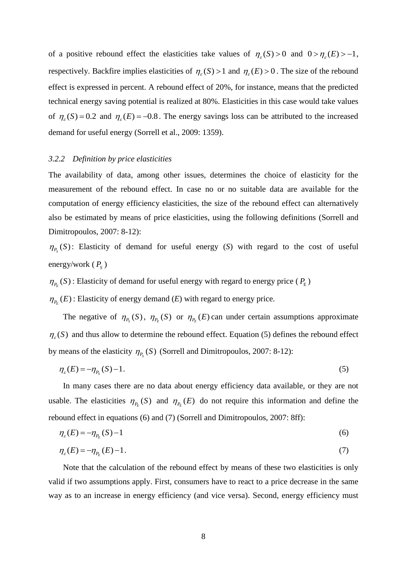of a positive rebound effect the elasticities take values of  $\eta_{\varepsilon}(S) > 0$  and  $0 > \eta_{\varepsilon}(E) > -1$ , respectively. Backfire implies elasticities of  $\eta_{\varepsilon}(S) > 1$  and  $\eta_{\varepsilon}(E) > 0$ . The size of the rebound effect is expressed in percent. A rebound effect of 20%, for instance, means that the predicted technical energy saving potential is realized at 80%. Elasticities in this case would take values of  $\eta_{\varepsilon}(S) = 0.2$  and  $\eta_{\varepsilon}(E) = -0.8$ . The energy savings loss can be attributed to the increased demand for useful energy (Sorrell et al., 2009: 1359).

#### *3.2.2 Definition by price elasticities*

The availability of data, among other issues, determines the choice of elasticity for the measurement of the rebound effect. In case no or no suitable data are available for the computation of energy efficiency elasticities, the size of the rebound effect can alternatively also be estimated by means of price elasticities, using the following definitions (Sorrell and Dimitropoulos, 2007: 8-12):

 $\eta_{P_S}(S)$ : Elasticity of demand for useful energy (*S*) with regard to the cost of useful energy/work ( $P<sub>S</sub>$ )

 $\eta_{P_E}(S)$ : Elasticity of demand for useful energy with regard to energy price ( $P_E$ )

 $\eta_{P_E}(E)$ : Elasticity of energy demand  $(E)$  with regard to energy price.

The negative of  $\eta_{P_S}(S)$ ,  $\eta_{P_E}(S)$  or  $\eta_{P_E}(E)$  can under certain assumptions approximate  $\eta_{\varepsilon}(S)$  and thus allow to determine the rebound effect. Equation (5) defines the rebound effect by means of the elasticity  $\eta_{P_s}(S)$  (Sorrell and Dimitropoulos, 2007: 8-12):

$$
\eta_{\varepsilon}(E) = -\eta_{P_{\mathcal{S}}}(S) - 1. \tag{5}
$$

In many cases there are no data about energy efficiency data available, or they are not usable. The elasticities  $\eta_{P_E}(S)$  and  $\eta_{P_E}(E)$  do not require this information and define the rebound effect in equations (6) and (7) (Sorrell and Dimitropoulos, 2007: 8ff):

$$
\eta_{\varepsilon}(E) = -\eta_{P_E}(S) - 1\tag{6}
$$

$$
\eta_{\varepsilon}(E) = -\eta_{P_E}(E) - 1. \tag{7}
$$

Note that the calculation of the rebound effect by means of these two elasticities is only valid if two assumptions apply. First, consumers have to react to a price decrease in the same way as to an increase in energy efficiency (and vice versa). Second, energy efficiency must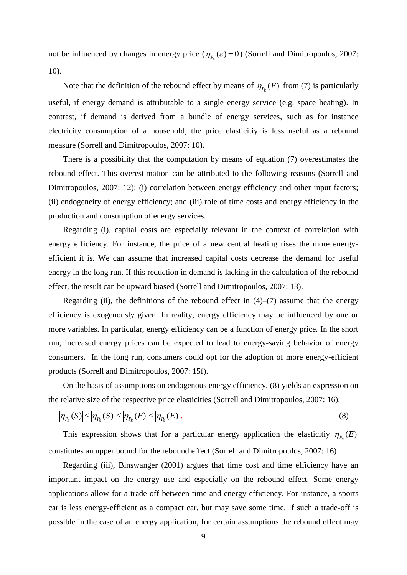not be influenced by changes in energy price  $(\eta_{P_E}(\varepsilon) = 0)$  (Sorrell and Dimitropoulos, 2007: 10).

Note that the definition of the rebound effect by means of  $\eta_{P_E}(E)$  from (7) is particularly useful, if energy demand is attributable to a single energy service (e.g. space heating). In contrast, if demand is derived from a bundle of energy services, such as for instance electricity consumption of a household, the price elasticitiy is less useful as a rebound measure (Sorrell and Dimitropoulos, 2007: 10).

There is a possibility that the computation by means of equation (7) overestimates the rebound effect. This overestimation can be attributed to the following reasons (Sorrell and Dimitropoulos, 2007: 12): (i) correlation between energy efficiency and other input factors; (ii) endogeneity of energy efficiency; and (iii) role of time costs and energy efficiency in the production and consumption of energy services.

Regarding (i), capital costs are especially relevant in the context of correlation with energy efficiency. For instance, the price of a new central heating rises the more energyefficient it is. We can assume that increased capital costs decrease the demand for useful energy in the long run. If this reduction in demand is lacking in the calculation of the rebound effect, the result can be upward biased (Sorrell and Dimitropoulos, 2007: 13).

Regarding (ii), the definitions of the rebound effect in  $(4)$ – $(7)$  assume that the energy efficiency is exogenously given. In reality, energy efficiency may be influenced by one or more variables. In particular, energy efficiency can be a function of energy price. In the short run, increased energy prices can be expected to lead to energy-saving behavior of energy consumers. In the long run, consumers could opt for the adoption of more energy-efficient products (Sorrell and Dimitropoulos, 2007: 15f).

On the basis of assumptions on endogenous energy efficiency, (8) yields an expression on the relative size of the respective price elasticities (Sorrell and Dimitropoulos, 2007: 16).

$$
|\eta_{P_E}(S)| \le |\eta_{P_S}(S)| \le |\eta_{P_E}(E)| \le |\eta_{P_S}(E)|.
$$
\n(8)

This expression shows that for a particular energy application the elasticitiy  $\eta_{P_E}(E)$ constitutes an upper bound for the rebound effect (Sorrell and Dimitropoulos, 2007: 16)

Regarding (iii), Binswanger (2001) argues that time cost and time efficiency have an important impact on the energy use and especially on the rebound effect. Some energy applications allow for a trade-off between time and energy efficiency. For instance, a sports car is less energy-efficient as a compact car, but may save some time. If such a trade-off is possible in the case of an energy application, for certain assumptions the rebound effect may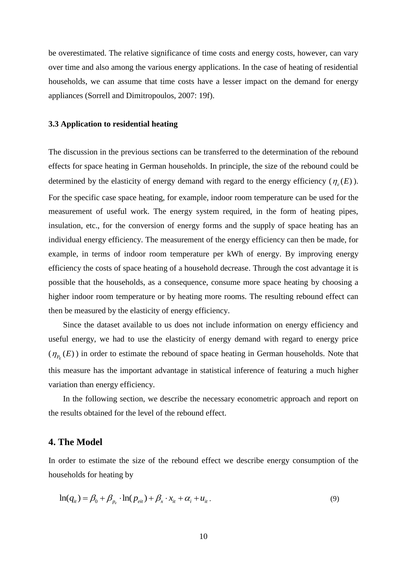be overestimated. The relative significance of time costs and energy costs, however, can vary over time and also among the various energy applications. In the case of heating of residential households, we can assume that time costs have a lesser impact on the demand for energy appliances (Sorrell and Dimitropoulos, 2007: 19f).

#### **3.3 Application to residential heating**

The discussion in the previous sections can be transferred to the determination of the rebound effects for space heating in German households. In principle, the size of the rebound could be determined by the elasticity of energy demand with regard to the energy efficiency  $(\eta_{\varepsilon}(E))$ . For the specific case space heating, for example, indoor room temperature can be used for the measurement of useful work. The energy system required, in the form of heating pipes, insulation, etc., for the conversion of energy forms and the supply of space heating has an individual energy efficiency. The measurement of the energy efficiency can then be made, for example, in terms of indoor room temperature per kWh of energy. By improving energy efficiency the costs of space heating of a household decrease. Through the cost advantage it is possible that the households, as a consequence, consume more space heating by choosing a higher indoor room temperature or by heating more rooms. The resulting rebound effect can then be measured by the elasticity of energy efficiency.

Since the dataset available to us does not include information on energy efficiency and useful energy, we had to use the elasticity of energy demand with regard to energy price  $(\eta_{P_{E}}(E))$  in order to estimate the rebound of space heating in German households. Note that this measure has the important advantage in statistical inference of featuring a much higher variation than energy efficiency.

In the following section, we describe the necessary econometric approach and report on the results obtained for the level of the rebound effect.

## **4. The Model**

In order to estimate the size of the rebound effect we describe energy consumption of the households for heating by

$$
\ln(q_{it}) = \beta_0 + \beta_{p_e} \cdot \ln(p_{eit}) + \beta_x \cdot x_{it} + \alpha_i + u_{it} \,.
$$
 (9)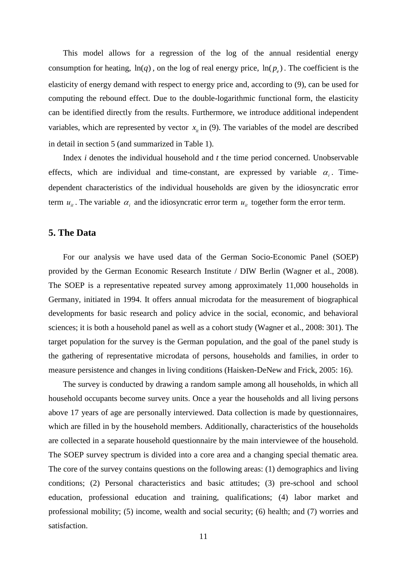This model allows for a regression of the log of the annual residential energy consumption for heating,  $\ln(q)$ , on the log of real energy price,  $\ln(p_e)$ . The coefficient is the elasticity of energy demand with respect to energy price and, according to (9), can be used for computing the rebound effect. Due to the double-logarithmic functional form, the elasticity can be identified directly from the results. Furthermore, we introduce additional independent variables, which are represented by vector  $x<sub>i</sub>$  in (9). The variables of the model are described in detail in section 5 (and summarized in Table 1).

Index *i* denotes the individual household and *t* the time period concerned. Unobservable effects, which are individual and time-constant, are expressed by variable  $\alpha_i$ . Timedependent characteristics of the individual households are given by the idiosyncratic error term  $u_{ii}$ . The variable  $\alpha_i$  and the idiosyncratic error term  $u_{ii}$  together form the error term.

### **5. The Data**

For our analysis we have used data of the German Socio-Economic Panel (SOEP) provided by the German Economic Research Institute / DIW Berlin (Wagner et al., 2008). The SOEP is a representative repeated survey among approximately 11,000 households in Germany, initiated in 1994. It offers annual microdata for the measurement of biographical developments for basic research and policy advice in the social, economic, and behavioral sciences; it is both a household panel as well as a cohort study (Wagner et al., 2008: 301). The target population for the survey is the German population, and the goal of the panel study is the gathering of representative microdata of persons, households and families, in order to measure persistence and changes in living conditions (Haisken-DeNew and Frick, 2005: 16).

The survey is conducted by drawing a random sample among all households, in which all household occupants become survey units. Once a year the households and all living persons above 17 years of age are personally interviewed. Data collection is made by questionnaires, which are filled in by the household members. Additionally, characteristics of the households are collected in a separate household questionnaire by the main interviewee of the household. The SOEP survey spectrum is divided into a core area and a changing special thematic area. The core of the survey contains questions on the following areas: (1) demographics and living conditions; (2) Personal characteristics and basic attitudes; (3) pre-school and school education, professional education and training, qualifications; (4) labor market and professional mobility; (5) income, wealth and social security; (6) health; and (7) worries and satisfaction.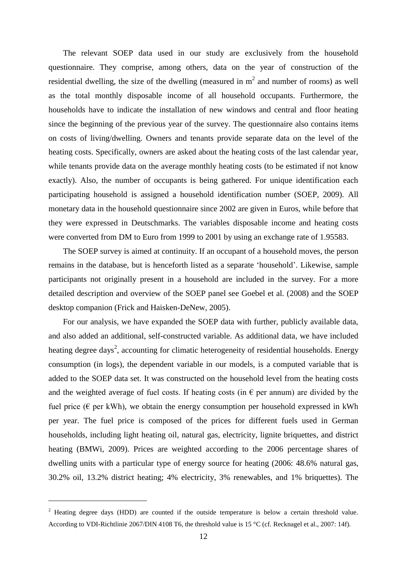The relevant SOEP data used in our study are exclusively from the household questionnaire. They comprise, among others, data on the year of construction of the residential dwelling, the size of the dwelling (measured in  $m<sup>2</sup>$  and number of rooms) as well as the total monthly disposable income of all household occupants. Furthermore, the households have to indicate the installation of new windows and central and floor heating since the beginning of the previous year of the survey. The questionnaire also contains items on costs of living/dwelling. Owners and tenants provide separate data on the level of the heating costs. Specifically, owners are asked about the heating costs of the last calendar year, while tenants provide data on the average monthly heating costs (to be estimated if not know exactly). Also, the number of occupants is being gathered. For unique identification each participating household is assigned a household identification number (SOEP, 2009). All monetary data in the household questionnaire since 2002 are given in Euros, while before that they were expressed in Deutschmarks. The variables disposable income and heating costs were converted from DM to Euro from 1999 to 2001 by using an exchange rate of 1.95583.

The SOEP survey is aimed at continuity. If an occupant of a household moves, the person remains in the database, but is henceforth listed as a separate "household". Likewise, sample participants not originally present in a household are included in the survey. For a more detailed description and overview of the SOEP panel see Goebel et al. (2008) and the SOEP desktop companion (Frick and Haisken-DeNew, 2005).

For our analysis, we have expanded the SOEP data with further, publicly available data, and also added an additional, self-constructed variable. As additional data, we have included heating degree days<sup>2</sup>, accounting for climatic heterogeneity of residential households. Energy consumption (in logs), the dependent variable in our models, is a computed variable that is added to the SOEP data set. It was constructed on the household level from the heating costs and the weighted average of fuel costs. If heating costs (in  $\epsilon$  per annum) are divided by the fuel price ( $\epsilon$  per kWh), we obtain the energy consumption per household expressed in kWh per year. The fuel price is composed of the prices for different fuels used in German households, including light heating oil, natural gas, electricity, lignite briquettes, and district heating (BMWi, 2009). Prices are weighted according to the 2006 percentage shares of dwelling units with a particular type of energy source for heating (2006: 48.6% natural gas, 30.2% oil, 13.2% district heating; 4% electricity, 3% renewables, and 1% briquettes). The

 $\overline{a}$ 

 $2$  Heating degree days (HDD) are counted if the outside temperature is below a certain threshold value. According to VDI-Richtlinie 2067/DIN 4108 T6, the threshold value is 15 °C (cf. Recknagel et al., 2007: 14f).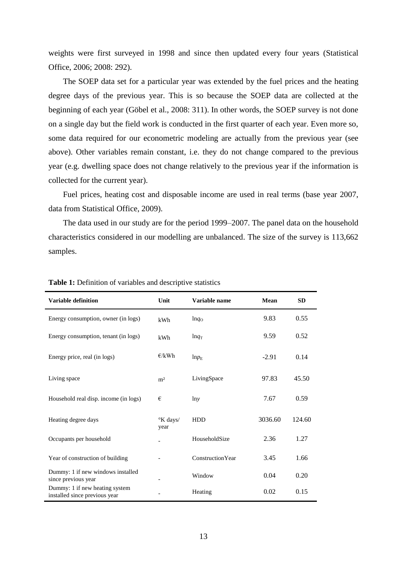weights were first surveyed in 1998 and since then updated every four years (Statistical Office, 2006; 2008: 292).

The SOEP data set for a particular year was extended by the fuel prices and the heating degree days of the previous year. This is so because the SOEP data are collected at the beginning of each year (Göbel et al., 2008: 311). In other words, the SOEP survey is not done on a single day but the field work is conducted in the first quarter of each year. Even more so, some data required for our econometric modeling are actually from the previous year (see above). Other variables remain constant, i.e. they do not change compared to the previous year (e.g. dwelling space does not change relatively to the previous year if the information is collected for the current year).

Fuel prices, heating cost and disposable income are used in real terms (base year 2007, data from Statistical Office, 2009).

The data used in our study are for the period 1999–2007. The panel data on the household characteristics considered in our modelling are unbalanced. The size of the survey is 113,662 samples.

| <b>Variable definition</b>                                      | Unit                       | Variable name            | Mean    | <b>SD</b> |
|-----------------------------------------------------------------|----------------------------|--------------------------|---------|-----------|
| Energy consumption, owner (in logs)                             | kWh                        | $lnq_0$                  | 9.83    | 0.55      |
| Energy consumption, tenant (in logs)                            | kWh                        | $lnq_T$                  | 9.59    | 0.52      |
| Energy price, real (in logs)                                    | E/kWh                      | $lnp_E$                  | $-2.91$ | 0.14      |
| Living space                                                    | m <sup>2</sup>             | LivingSpace              | 97.83   | 45.50     |
| Household real disp. income (in logs)                           | €                          | lnv                      | 7.67    | 0.59      |
| Heating degree days                                             | $\mathrm{K}$ days/<br>year | <b>HDD</b>               | 3036.60 | 124.60    |
| Occupants per household                                         |                            | HouseholdSize            | 2.36    | 1.27      |
| Year of construction of building                                |                            | <b>Construction Year</b> | 3.45    | 1.66      |
| Dummy: 1 if new windows installed<br>since previous year        |                            | Window                   | 0.04    | 0.20      |
| Dummy: 1 if new heating system<br>installed since previous year |                            | Heating                  | 0.02    | 0.15      |

Table 1: Definition of variables and descriptive statistics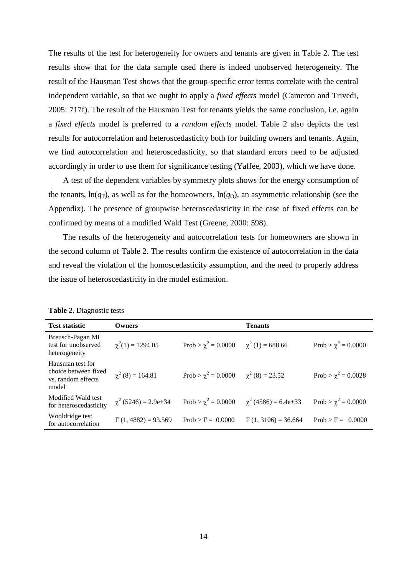The results of the test for heterogeneity for owners and tenants are given in Table 2. The test results show that for the data sample used there is indeed unobserved heterogeneity. The result of the Hausman Test shows that the group-specific error terms correlate with the central independent variable, so that we ought to apply a *fixed effects* model (Cameron and Trivedi, 2005: 717f). The result of the Hausman Test for tenants yields the same conclusion, i.e. again a *fixed effects* model is preferred to a *random effects* model. Table 2 also depicts the test results for autocorrelation and heteroscedasticity both for building owners and tenants. Again, we find autocorrelation and heteroscedasticity, so that standard errors need to be adjusted accordingly in order to use them for significance testing (Yaffee, 2003), which we have done.

A test of the dependent variables by symmetry plots shows for the energy consumption of the tenants,  $\ln(q_T)$ , as well as for the homeowners,  $\ln(q_O)$ , an asymmetric relationship (see the Appendix). The presence of groupwise heteroscedasticity in the case of fixed effects can be confirmed by means of a modified Wald Test (Greene, 2000: 598).

The results of the heterogeneity and autocorrelation tests for homeowners are shown in the second column of Table 2. The results confirm the existence of autocorrelation in the data and reveal the violation of the homoscedasticity assumption, and the need to properly address the issue of heteroscedasticity in the model estimation.

| <b>Test statistic</b>                                                   | Owners                    |                          | <b>Tenants</b>            |                          |
|-------------------------------------------------------------------------|---------------------------|--------------------------|---------------------------|--------------------------|
| Breusch-Pagan ML<br>test for unobserved<br>heterogeneity                | $\chi^2(1) = 1294.05$     | Prob > $\chi^2$ = 0.0000 | $\chi^2(1) = 688.66$      | Prob > $\chi^2$ = 0.0000 |
| Hausman test for<br>choice between fixed<br>vs. random effects<br>model | $\chi^2$ (8) = 164.81     | Prob > $\chi^2$ = 0.0000 | $\chi^2$ (8) = 23.52      | Prob > $\chi^2$ = 0.0028 |
| Modified Wald test<br>for heteroscedasticity                            | $\chi^2$ (5246) = 2.9e+34 | Prob > $\chi^2$ = 0.0000 | $\chi^2$ (4586) = 6.4e+33 | Prob > $\chi^2$ = 0.0000 |
| Wooldridge test<br>for autocorrelation                                  | $F(1, 4882) = 93.569$     | $Prob > F = 0.0000$      | $F(1, 3106) = 36.664$     | $Prob > F = 0.0000$      |

**Table 2.** Diagnostic tests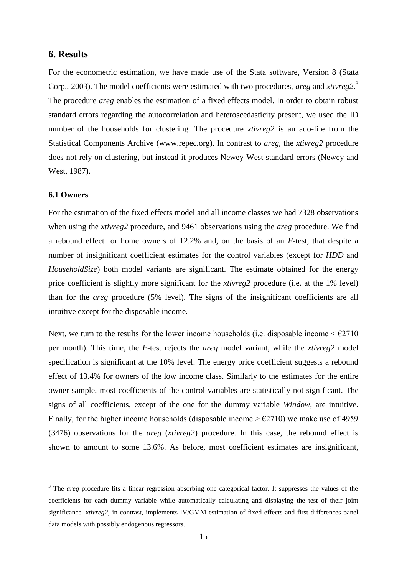## **6. Results**

For the econometric estimation, we have made use of the Stata software, Version 8 (Stata Corp., 2003). The model coefficients were estimated with two procedures, *areg* and *xtivreg2*. 3 The procedure *areg* enables the estimation of a fixed effects model. In order to obtain robust standard errors regarding the autocorrelation and heteroscedasticity present, we used the ID number of the households for clustering. The procedure *xtivreg2* is an ado-file from the Statistical Components Archive (www.repec.org). In contrast to *areg*, the *xtivreg2* procedure does not rely on clustering, but instead it produces Newey-West standard errors (Newey and West, 1987).

#### **6.1 Owners**

 $\overline{a}$ 

For the estimation of the fixed effects model and all income classes we had 7328 observations when using the *xtivreg2* procedure, and 9461 observations using the *areg* procedure. We find a rebound effect for home owners of 12.2% and, on the basis of an *F*-test, that despite a number of insignificant coefficient estimates for the control variables (except for *HDD* and *HouseholdSize*) both model variants are significant. The estimate obtained for the energy price coefficient is slightly more significant for the *xtivreg2* procedure (i.e. at the 1% level) than for the *areg* procedure (5% level). The signs of the insignificant coefficients are all intuitive except for the disposable income.

Next, we turn to the results for the lower income households (i.e. disposable income  $\leq \epsilon$ 2710 per month). This time, the *F*-test rejects the *areg* model variant, while the *xtivreg2* model specification is significant at the 10% level. The energy price coefficient suggests a rebound effect of 13.4% for owners of the low income class. Similarly to the estimates for the entire owner sample, most coefficients of the control variables are statistically not significant. The signs of all coefficients, except of the one for the dummy variable *Window*, are intuitive. Finally, for the higher income households (disposable income  $> \epsilon$ 2710) we make use of 4959 (3476) observations for the *areg* (*xtivreg2*) procedure. In this case, the rebound effect is shown to amount to some 13.6%. As before, most coefficient estimates are insignificant,

<sup>&</sup>lt;sup>3</sup> The *areg* procedure fits a linear regression absorbing one categorical factor. It suppresses the values of the coefficients for each dummy variable while automatically calculating and displaying the test of their joint significance. *xtivreg2*, in contrast, implements IV/GMM estimation of fixed effects and first-differences panel data models with possibly endogenous regressors.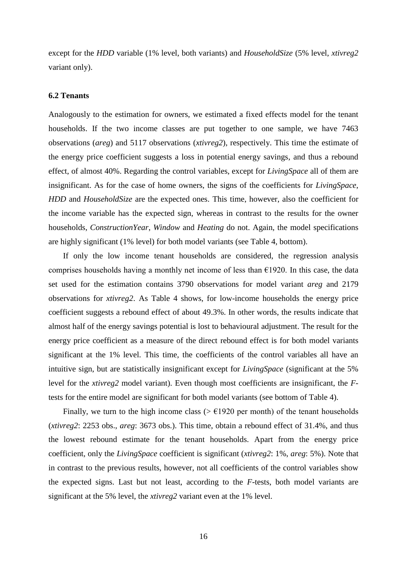except for the *HDD* variable (1% level, both variants) and *HouseholdSize* (5% level, *xtivreg2* variant only).

#### **6.2 Tenants**

Analogously to the estimation for owners, we estimated a fixed effects model for the tenant households. If the two income classes are put together to one sample, we have 7463 observations (*areg*) and 5117 observations (*xtivreg2*), respectively. This time the estimate of the energy price coefficient suggests a loss in potential energy savings, and thus a rebound effect, of almost 40%. Regarding the control variables, except for *LivingSpace* all of them are insignificant. As for the case of home owners, the signs of the coefficients for *LivingSpace*, *HDD* and *HouseholdSize* are the expected ones. This time, however, also the coefficient for the income variable has the expected sign, whereas in contrast to the results for the owner households, *ConstructionYear*, *Window* and *Heating* do not. Again, the model specifications are highly significant (1% level) for both model variants (see Table 4, bottom).

If only the low income tenant households are considered, the regression analysis comprises households having a monthly net income of less than  $E1920$ . In this case, the data set used for the estimation contains 3790 observations for model variant *areg* and 2179 observations for *xtivreg2*. As Table 4 shows, for low-income households the energy price coefficient suggests a rebound effect of about 49.3%. In other words, the results indicate that almost half of the energy savings potential is lost to behavioural adjustment. The result for the energy price coefficient as a measure of the direct rebound effect is for both model variants significant at the 1% level. This time, the coefficients of the control variables all have an intuitive sign, but are statistically insignificant except for *LivingSpace* (significant at the 5% level for the *xtivreg2* model variant). Even though most coefficients are insignificant, the *F*tests for the entire model are significant for both model variants (see bottom of Table 4).

Finally, we turn to the high income class ( $> \epsilon$ 1920 per month) of the tenant households (*xtivreg2*: 2253 obs., *areg*: 3673 obs.). This time, obtain a rebound effect of 31.4%, and thus the lowest rebound estimate for the tenant households. Apart from the energy price coefficient, only the *LivingSpace* coefficient is significant (*xtivreg2*: 1%, *areg*: 5%). Note that in contrast to the previous results, however, not all coefficients of the control variables show the expected signs. Last but not least, according to the *F*-tests, both model variants are significant at the 5% level, the *xtivreg2* variant even at the 1% level.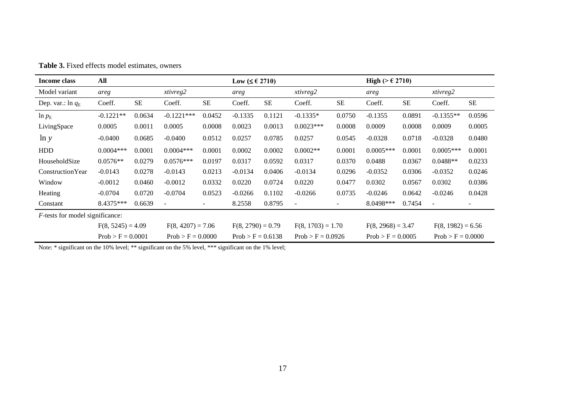| Income class                       | All                 |           |                     | Low $(\leq \epsilon 2710)$ |                     |        | <b>High</b> (> € 2710)   |           |                     |           |                          |           |
|------------------------------------|---------------------|-----------|---------------------|----------------------------|---------------------|--------|--------------------------|-----------|---------------------|-----------|--------------------------|-----------|
| Model variant                      | areg                |           | xtivreg2            |                            | areg                |        | xtivreg2                 |           | areg                |           | xtivreg2                 |           |
| Dep. var.: ln $q_E$                | Coeff.              | <b>SE</b> | Coeff.              | <b>SE</b>                  | Coeff.              | SE     | Coeff.                   | <b>SE</b> | Coeff.              | <b>SE</b> | Coeff.                   | <b>SE</b> |
| $\ln p_{\rm E}$                    | $-0.1221**$         | 0.0634    | $-0.1221***$        | 0.0452                     | $-0.1335$           | 0.1121 | $-0.1335*$               | 0.0750    | $-0.1355$           | 0.0891    | $-0.1355**$              | 0.0596    |
| LivingSpace                        | 0.0005              | 0.0011    | 0.0005              | 0.0008                     | 0.0023              | 0.0013 | $0.0023***$              | 0.0008    | 0.0009              | 0.0008    | 0.0009                   | 0.0005    |
| $\ln y$                            | $-0.0400$           | 0.0685    | $-0.0400$           | 0.0512                     | 0.0257              | 0.0785 | 0.0257                   | 0.0545    | $-0.0328$           | 0.0718    | $-0.0328$                | 0.0480    |
| <b>HDD</b>                         | $0.0004***$         | 0.0001    | $0.0004***$         | 0.0001                     | 0.0002              | 0.0002 | $0.0002**$               | 0.0001    | $0.0005***$         | 0.0001    | $0.0005***$              | 0.0001    |
| HouseholdSize                      | $0.0576**$          | 0.0279    | $0.0576***$         | 0.0197                     | 0.0317              | 0.0592 | 0.0317                   | 0.0370    | 0.0488              | 0.0367    | $0.0488**$               | 0.0233    |
| ConstructionYear                   | $-0.0143$           | 0.0278    | $-0.0143$           | 0.0213                     | $-0.0134$           | 0.0406 | $-0.0134$                | 0.0296    | $-0.0352$           | 0.0306    | $-0.0352$                | 0.0246    |
| Window                             | $-0.0012$           | 0.0460    | $-0.0012$           | 0.0332                     | 0.0220              | 0.0724 | 0.0220                   | 0.0477    | 0.0302              | 0.0567    | 0.0302                   | 0.0386    |
| Heating                            | $-0.0704$           | 0.0720    | $-0.0704$           | 0.0523                     | $-0.0266$           | 0.1102 | $-0.0266$                | 0.0735    | $-0.0246$           | 0.0642    | $-0.0246$                | 0.0428    |
| Constant                           | 8.4375***           | 0.6639    |                     |                            | 8.2558              | 0.8795 | $\overline{\phantom{a}}$ |           | 8.0498***           | 0.7454    | $\overline{\phantom{a}}$ |           |
| $F$ -tests for model significance: |                     |           |                     |                            |                     |        |                          |           |                     |           |                          |           |
|                                    | $F(8, 5245) = 4.09$ |           | $F(8, 4207) = 7.06$ |                            | $F(8, 2790) = 0.79$ |        | $F(8, 1703) = 1.70$      |           | $F(8, 2968) = 3.47$ |           | $F(8, 1982) = 6.56$      |           |
|                                    | $Prob > F = 0.0001$ |           | $Prob > F = 0.0000$ |                            | $Prob > F = 0.6138$ |        | $Prob > F = 0.0926$      |           | $Prob > F = 0.0005$ |           | $Prob > F = 0.0000$      |           |

**Table 3.** Fixed effects model estimates, owners

Note: \* significant on the 10% level; \*\* significant on the 5% level, \*\*\* significant on the 1% level;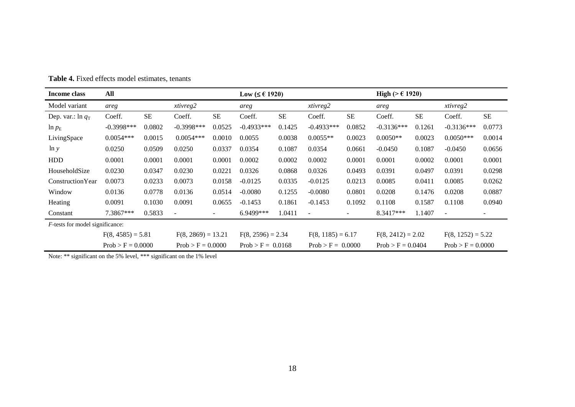| Income class                            | All                                         |           |                          | Low $(\leq \epsilon 1920)$                 |                     |        | <b>High (&gt; € 1920)</b> |        |                     |           |                     |           |
|-----------------------------------------|---------------------------------------------|-----------|--------------------------|--------------------------------------------|---------------------|--------|---------------------------|--------|---------------------|-----------|---------------------|-----------|
| Model variant                           | areg                                        |           | xtivreg2                 |                                            | areg                |        | xtivreg2                  |        | areg                |           | xtivreg2            |           |
| Dep. var.: ln $q_T$                     | Coeff.                                      | <b>SE</b> | Coeff.                   | <b>SE</b>                                  | Coeff.              | SE     | Coeff.                    | SE     | Coeff.              | <b>SE</b> | Coeff.              | <b>SE</b> |
| $\ln p_{\rm E}$                         | $-0.3998$ ***                               | 0.0802    | $-0.3998$ ***            | 0.0525                                     | $-0.4933***$        | 0.1425 | $-0.4933***$              | 0.0852 | $-0.3136***$        | 0.1261    | $-0.3136***$        | 0.0773    |
| LivingSpace                             | $0.0054***$                                 | 0.0015    | $0.0054***$              | 0.0010                                     | 0.0055              | 0.0038 | $0.0055**$                | 0.0023 | $0.0050**$          | 0.0023    | $0.0050***$         | 0.0014    |
| $\ln y$                                 | 0.0250                                      | 0.0509    | 0.0250                   | 0.0337                                     | 0.0354              | 0.1087 | 0.0354                    | 0.0661 | $-0.0450$           | 0.1087    | $-0.0450$           | 0.0656    |
| <b>HDD</b>                              | 0.0001                                      | 0.0001    | 0.0001                   | 0.0001                                     | 0.0002              | 0.0002 | 0.0002                    | 0.0001 | 0.0001              | 0.0002    | 0.0001              | 0.0001    |
| HouseholdSize                           | 0.0230                                      | 0.0347    | 0.0230                   | 0.0221                                     | 0.0326              | 0.0868 | 0.0326                    | 0.0493 | 0.0391              | 0.0497    | 0.0391              | 0.0298    |
| ConstructionYear                        | 0.0073                                      | 0.0233    | 0.0073                   | 0.0158                                     | $-0.0125$           | 0.0335 | $-0.0125$                 | 0.0213 | 0.0085              | 0.0411    | 0.0085              | 0.0262    |
| Window                                  | 0.0136                                      | 0.0778    | 0.0136                   | 0.0514                                     | $-0.0080$           | 0.1255 | $-0.0080$                 | 0.0801 | 0.0208              | 0.1476    | 0.0208              | 0.0887    |
| Heating                                 | 0.0091                                      | 0.1030    | 0.0091                   | 0.0655                                     | $-0.1453$           | 0.1861 | $-0.1453$                 | 0.1092 | 0.1108              | 0.1587    | 0.1108              | 0.0940    |
| Constant                                | 7.3867***                                   | 0.5833    | $\overline{\phantom{a}}$ |                                            | 6.9499***           | 1.0411 | $\blacksquare$            |        | 8.3417***           | 1.1407    | $\blacksquare$      |           |
| <i>F</i> -tests for model significance: |                                             |           |                          |                                            |                     |        |                           |        |                     |           |                     |           |
|                                         | $F(8, 4585) = 5.81$<br>$F(8, 2869) = 13.21$ |           |                          | $F(8, 1185) = 6.17$<br>$F(8, 2596) = 2.34$ |                     |        | $F(8, 2412) = 2.02$       |        | $F(8, 1252) = 5.22$ |           |                     |           |
|                                         | $Prob > F = 0.0000$                         |           | $Prob > F = 0.0000$      |                                            | $Prob > F = 0.0168$ |        | $Prob > F = 0.0000$       |        | $Prob > F = 0.0404$ |           | $Prob > F = 0.0000$ |           |

**Table 4.** Fixed effects model estimates, tenants

Note: \*\* significant on the 5% level, \*\*\* significant on the 1% level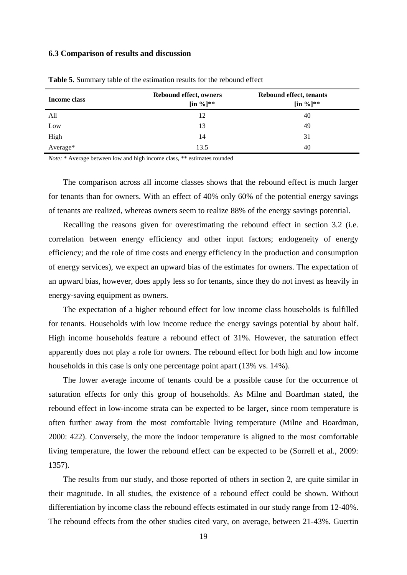#### **6.3 Comparison of results and discussion**

| Income class | <b>Rebound effect, owners</b><br>$\left[ \text{in } \% \right]^{**}$ | <b>Rebound effect, tenants</b><br>$\left[ \text{in } \% \right]^{**}$ |
|--------------|----------------------------------------------------------------------|-----------------------------------------------------------------------|
| All          | 12                                                                   | 40                                                                    |
| Low          | 13                                                                   | 49                                                                    |
| High         | 14                                                                   | 31                                                                    |
| Average*     | 13.5                                                                 | 40                                                                    |

**Table 5.** Summary table of the estimation results for the rebound effect

*Note:* \* Average between low and high income class, \*\* estimates rounded

The comparison across all income classes shows that the rebound effect is much larger for tenants than for owners. With an effect of 40% only 60% of the potential energy savings of tenants are realized, whereas owners seem to realize 88% of the energy savings potential.

Recalling the reasons given for overestimating the rebound effect in section 3.2 (i.e. correlation between energy efficiency and other input factors; endogeneity of energy efficiency; and the role of time costs and energy efficiency in the production and consumption of energy services), we expect an upward bias of the estimates for owners. The expectation of an upward bias, however, does apply less so for tenants, since they do not invest as heavily in energy-saving equipment as owners.

The expectation of a higher rebound effect for low income class households is fulfilled for tenants. Households with low income reduce the energy savings potential by about half. High income households feature a rebound effect of 31%. However, the saturation effect apparently does not play a role for owners. The rebound effect for both high and low income households in this case is only one percentage point apart (13% vs. 14%).

The lower average income of tenants could be a possible cause for the occurrence of saturation effects for only this group of households. As Milne and Boardman stated, the rebound effect in low-income strata can be expected to be larger, since room temperature is often further away from the most comfortable living temperature (Milne and Boardman, 2000: 422). Conversely, the more the indoor temperature is aligned to the most comfortable living temperature, the lower the rebound effect can be expected to be (Sorrell et al., 2009: 1357).

The results from our study, and those reported of others in section 2, are quite similar in their magnitude. In all studies, the existence of a rebound effect could be shown. Without differentiation by income class the rebound effects estimated in our study range from 12-40%. The rebound effects from the other studies cited vary, on average, between 21-43%. Guertin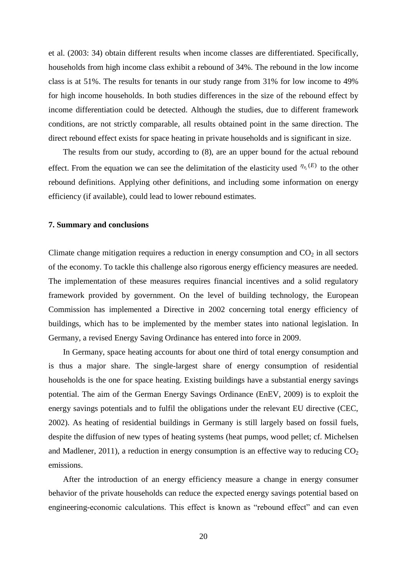et al. (2003: 34) obtain different results when income classes are differentiated. Specifically, households from high income class exhibit a rebound of 34%. The rebound in the low income class is at 51%. The results for tenants in our study range from 31% for low income to 49% for high income households. In both studies differences in the size of the rebound effect by income differentiation could be detected. Although the studies, due to different framework conditions, are not strictly comparable, all results obtained point in the same direction. The direct rebound effect exists for space heating in private households and is significant in size.

The results from our study, according to (8), are an upper bound for the actual rebound effect. From the equation we can see the delimitation of the elasticity used  $\eta_{P_{\varepsilon}}(E)$  to the other rebound definitions. Applying other definitions, and including some information on energy efficiency (if available), could lead to lower rebound estimates.

#### **7. Summary and conclusions**

Climate change mitigation requires a reduction in energy consumption and  $CO<sub>2</sub>$  in all sectors of the economy. To tackle this challenge also rigorous energy efficiency measures are needed. The implementation of these measures requires financial incentives and a solid regulatory framework provided by government. On the level of building technology, the European Commission has implemented a Directive in 2002 concerning total energy efficiency of buildings, which has to be implemented by the member states into national legislation. In Germany, a revised Energy Saving Ordinance has entered into force in 2009.

In Germany, space heating accounts for about one third of total energy consumption and is thus a major share. The single-largest share of energy consumption of residential households is the one for space heating. Existing buildings have a substantial energy savings potential. The aim of the German Energy Savings Ordinance (EnEV, 2009) is to exploit the energy savings potentials and to fulfil the obligations under the relevant EU directive (CEC, 2002). As heating of residential buildings in Germany is still largely based on fossil fuels, despite the diffusion of new types of heating systems (heat pumps, wood pellet; cf. Michelsen and Madlener, 2011), a reduction in energy consumption is an effective way to reducing  $CO<sub>2</sub>$ emissions.

After the introduction of an energy efficiency measure a change in energy consumer behavior of the private households can reduce the expected energy savings potential based on engineering-economic calculations. This effect is known as "rebound effect" and can even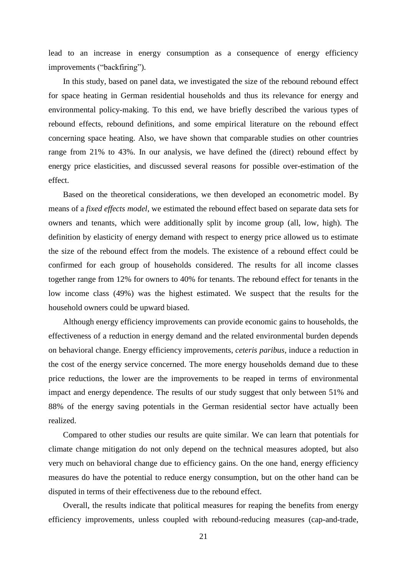lead to an increase in energy consumption as a consequence of energy efficiency improvements ("backfiring").

In this study, based on panel data, we investigated the size of the rebound rebound effect for space heating in German residential households and thus its relevance for energy and environmental policy-making. To this end, we have briefly described the various types of rebound effects, rebound definitions, and some empirical literature on the rebound effect concerning space heating. Also, we have shown that comparable studies on other countries range from 21% to 43%. In our analysis, we have defined the (direct) rebound effect by energy price elasticities, and discussed several reasons for possible over-estimation of the effect.

Based on the theoretical considerations, we then developed an econometric model. By means of a *fixed effects model*, we estimated the rebound effect based on separate data sets for owners and tenants, which were additionally split by income group (all, low, high). The definition by elasticity of energy demand with respect to energy price allowed us to estimate the size of the rebound effect from the models. The existence of a rebound effect could be confirmed for each group of households considered. The results for all income classes together range from 12% for owners to 40% for tenants. The rebound effect for tenants in the low income class (49%) was the highest estimated. We suspect that the results for the household owners could be upward biased.

Although energy efficiency improvements can provide economic gains to households, the effectiveness of a reduction in energy demand and the related environmental burden depends on behavioral change. Energy efficiency improvements, *ceteris paribus*, induce a reduction in the cost of the energy service concerned. The more energy households demand due to these price reductions, the lower are the improvements to be reaped in terms of environmental impact and energy dependence. The results of our study suggest that only between 51% and 88% of the energy saving potentials in the German residential sector have actually been realized.

Compared to other studies our results are quite similar. We can learn that potentials for climate change mitigation do not only depend on the technical measures adopted, but also very much on behavioral change due to efficiency gains. On the one hand, energy efficiency measures do have the potential to reduce energy consumption, but on the other hand can be disputed in terms of their effectiveness due to the rebound effect.

Overall, the results indicate that political measures for reaping the benefits from energy efficiency improvements, unless coupled with rebound-reducing measures (cap-and-trade,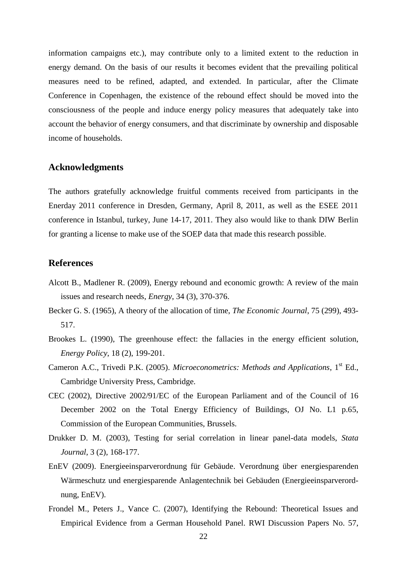information campaigns etc.), may contribute only to a limited extent to the reduction in energy demand. On the basis of our results it becomes evident that the prevailing political measures need to be refined, adapted, and extended. In particular, after the Climate Conference in Copenhagen, the existence of the rebound effect should be moved into the consciousness of the people and induce energy policy measures that adequately take into account the behavior of energy consumers, and that discriminate by ownership and disposable income of households.

## **Acknowledgments**

The authors gratefully acknowledge fruitful comments received from participants in the Enerday 2011 conference in Dresden, Germany, April 8, 2011, as well as the ESEE 2011 conference in Istanbul, turkey, June 14-17, 2011. They also would like to thank DIW Berlin for granting a license to make use of the SOEP data that made this research possible.

## **References**

- Alcott B., Madlener R. (2009), Energy rebound and economic growth: A review of the main issues and research needs, *Energy*, 34 (3), 370-376.
- Becker G. S. (1965), A theory of the allocation of time, *The Economic Journal*, 75 (299), 493- 517.
- Brookes L. (1990), The greenhouse effect: the fallacies in the energy efficient solution, *Energy Policy*, 18 (2), 199-201.
- Cameron A.C., Trivedi P.K. (2005). *Microeconometrics: Methods and Applications*, 1<sup>st</sup> Ed., Cambridge University Press, Cambridge.
- CEC (2002), Directive 2002/91/EC of the European Parliament and of the Council of 16 December 2002 on the Total Energy Efficiency of Buildings, OJ No. L1 p.65, Commission of the European Communities, Brussels.
- Drukker D. M. (2003), Testing for serial correlation in linear panel-data models, *Stata Journal*, 3 (2), 168-177.
- EnEV (2009). Energieeinsparverordnung für Gebäude. Verordnung über energiesparenden Wärmeschutz und energiesparende Anlagentechnik bei Gebäuden (Energieeinsparverordnung, EnEV).
- Frondel M., Peters J., Vance C. (2007), Identifying the Rebound: Theoretical Issues and Empirical Evidence from a German Household Panel. RWI Discussion Papers No. 57,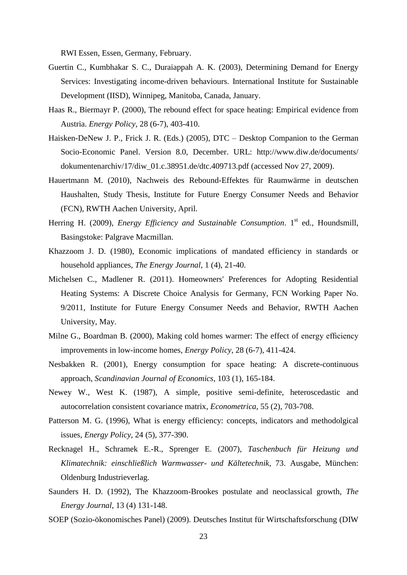RWI Essen, Essen, Germany, February.

- Guertin C., Kumbhakar S. C., Duraiappah A. K. (2003), Determining Demand for Energy Services: Investigating income-driven behaviours. International Institute for Sustainable Development (IISD), Winnipeg, Manitoba, Canada, January.
- Haas R., Biermayr P. (2000), The rebound effect for space heating: Empirical evidence from Austria. *Energy Policy*, 28 (6-7), 403-410.
- Haisken-DeNew J. P., Frick J. R. (Eds.) (2005), DTC Desktop Companion to the German Socio-Economic Panel. Version 8.0, December. URL: http://www.diw.de/documents/ dokumentenarchiv/17/diw\_01.c.38951.de/dtc.409713.pdf (accessed Nov 27, 2009).
- Hauertmann M. (2010), Nachweis des Rebound-Effektes für Raumwärme in deutschen Haushalten, Study Thesis, Institute for Future Energy Consumer Needs and Behavior (FCN), RWTH Aachen University, April.
- Herring H. (2009), *Energy Efficiency and Sustainable Consumption*. 1<sup>st</sup> ed., Houndsmill, Basingstoke: Palgrave Macmillan.
- Khazzoom J. D. (1980), Economic implications of mandated efficiency in standards or household appliances, *The Energy Journal*, 1 (4), 21-40.
- Michelsen C., Madlener R. (2011). Homeowners' Preferences for Adopting Residential Heating Systems: A Discrete Choice Analysis for Germany, FCN Working Paper No. 9/2011, Institute for Future Energy Consumer Needs and Behavior, RWTH Aachen University, May.
- Milne G., Boardman B. (2000), Making cold homes warmer: The effect of energy efficiency improvements in low-income homes, *Energy Policy*, 28 (6-7), 411-424.
- Nesbakken R. (2001), Energy consumption for space heating: A discrete-continuous approach, *Scandinavian Journal of Economics*, 103 (1), 165-184.
- Newey W., West K. (1987), A simple, positive semi-definite, heteroscedastic and autocorrelation consistent covariance matrix, *Econometrica*, 55 (2), 703-708.
- Patterson M. G. (1996), What is energy efficiency: concepts, indicators and methodolgical issues, *Energy Policy*, 24 (5), 377-390.
- Recknagel H., Schramek E.-R., Sprenger E. (2007), *Taschenbuch für Heizung und Klimatechnik: einschließlich Warmwasser- und Kältetechnik*, 73. Ausgabe, München: Oldenburg Industrieverlag.
- Saunders H. D. (1992), The Khazzoom-Brookes postulate and neoclassical growth, *The Energy Journal*, 13 (4) 131-148.
- SOEP (Sozio-ökonomisches Panel) (2009). Deutsches Institut für Wirtschaftsforschung (DIW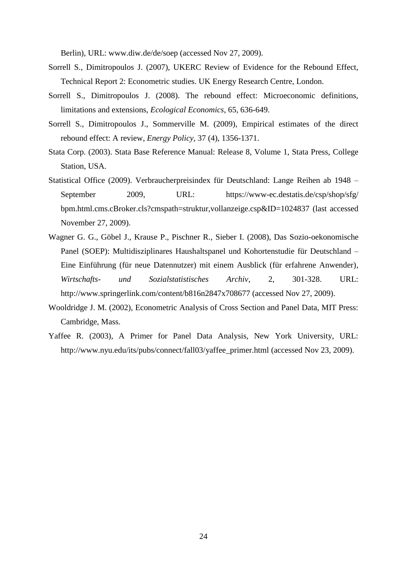Berlin), URL: www.diw.de/de/soep (accessed Nov 27, 2009).

- Sorrell S., Dimitropoulos J. (2007), UKERC Review of Evidence for the Rebound Effect, Technical Report 2: Econometric studies. UK Energy Research Centre, London.
- Sorrell S., Dimitropoulos J. (2008). The rebound effect: Microeconomic definitions, limitations and extensions, *Ecological Economics*, 65, 636-649.
- Sorrell S., Dimitropoulos J., Sommerville M. (2009), Empirical estimates of the direct rebound effect: A review, *Energy Policy*, 37 (4), 1356-1371.
- Stata Corp. (2003). Stata Base Reference Manual: Release 8, Volume 1, Stata Press, College Station, USA.
- Statistical Office (2009). Verbraucherpreisindex für Deutschland: Lange Reihen ab 1948 September 2009, URL: https://www-ec.destatis.de/csp/shop/sfg/ bpm.html.cms.cBroker.cls?cmspath=struktur,vollanzeige.csp&ID=1024837 (last accessed November 27, 2009).
- Wagner G. G., Göbel J., Krause P., Pischner R., Sieber I. (2008), Das Sozio-oekonomische Panel (SOEP): Multidisziplinares Haushaltspanel und Kohortenstudie für Deutschland – Eine Einführung (für neue Datennutzer) mit einem Ausblick (für erfahrene Anwender), *Wirtschafts- und Sozialstatistisches Archiv*, 2, 301-328. URL: http://www.springerlink.com/content/b816n2847x708677 (accessed Nov 27, 2009).
- Wooldridge J. M. (2002), Econometric Analysis of Cross Section and Panel Data, MIT Press: Cambridge, Mass.
- Yaffee R. (2003), A Primer for Panel Data Analysis, New York University, URL: http://www.nyu.edu/its/pubs/connect/fall03/yaffee\_primer.html (accessed Nov 23, 2009).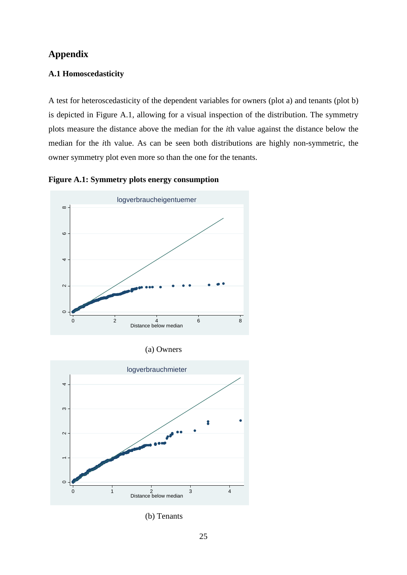## **Appendix**

## **A.1 Homoscedasticity**

A test for heteroscedasticity of the dependent variables for owners (plot a) and tenants (plot b) is depicted in Figure A.1, allowing for a visual inspection of the distribution. The symmetry plots measure the distance above the median for the *i*th value against the distance below the median for the *i*th value. As can be seen both distributions are highly non-symmetric, the owner symmetry plot even more so than the one for the tenants.





(a) Owners



(b) Tenants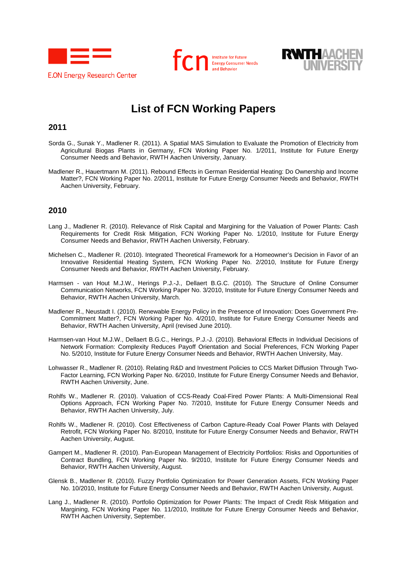





## **List of FCN Working Papers**

### **2011**

- Sorda G., Sunak Y., Madlener R. (2011). A Spatial MAS Simulation to Evaluate the Promotion of Electricity from Agricultural Biogas Plants in Germany, FCN Working Paper No. 1/2011, Institute for Future Energy Consumer Needs and Behavior, RWTH Aachen University, January.
- Madlener R., Hauertmann M. (2011). Rebound Effects in German Residential Heating: Do Ownership and Income Matter?, FCN Working Paper No. 2/2011, Institute for Future Energy Consumer Needs and Behavior, RWTH Aachen University, February.

### **2010**

- Lang J., Madlener R. (2010). Relevance of Risk Capital and Margining for the Valuation of Power Plants: Cash Requirements for Credit Risk Mitigation, FCN Working Paper No. 1/2010, Institute for Future Energy Consumer Needs and Behavior, RWTH Aachen University, February.
- Michelsen C., Madlener R. (2010). Integrated Theoretical Framework for a Homeowner's Decision in Favor of an Innovative Residential Heating System, FCN Working Paper No. 2/2010, Institute for Future Energy Consumer Needs and Behavior, RWTH Aachen University, February.
- Harmsen van Hout M.J.W., Herings P.J.-J., Dellaert B.G.C. (2010). The Structure of Online Consumer Communication Networks, FCN Working Paper No. 3/2010, Institute for Future Energy Consumer Needs and Behavior, RWTH Aachen University, March.
- Madlener R., Neustadt I. (2010). Renewable Energy Policy in the Presence of Innovation: Does Government Pre-Commitment Matter?, FCN Working Paper No. 4/2010, Institute for Future Energy Consumer Needs and Behavior, RWTH Aachen University, April (revised June 2010).
- Harmsen-van Hout M.J.W., Dellaert B.G.C., Herings, P.J.-J. (2010). Behavioral Effects in Individual Decisions of Network Formation: Complexity Reduces Payoff Orientation and Social Preferences, FCN Working Paper No. 5/2010, Institute for Future Energy Consumer Needs and Behavior, RWTH Aachen University, May.
- Lohwasser R., Madlener R. (2010). Relating R&D and Investment Policies to CCS Market Diffusion Through Two-Factor Learning, FCN Working Paper No. 6/2010, Institute for Future Energy Consumer Needs and Behavior, RWTH Aachen University, June.
- Rohlfs W., Madlener R. (2010). Valuation of CCS-Ready Coal-Fired Power Plants: A Multi-Dimensional Real Options Approach, FCN Working Paper No. 7/2010, Institute for Future Energy Consumer Needs and Behavior, RWTH Aachen University, July.
- Rohlfs W., Madlener R. (2010). Cost Effectiveness of Carbon Capture-Ready Coal Power Plants with Delayed Retrofit, FCN Working Paper No. 8/2010, Institute for Future Energy Consumer Needs and Behavior, RWTH Aachen University, August.
- Gampert M., Madlener R. (2010). Pan-European Management of Electricity Portfolios: Risks and Opportunities of Contract Bundling, FCN Working Paper No. 9/2010, Institute for Future Energy Consumer Needs and Behavior, RWTH Aachen University, August.
- Glensk B., Madlener R. (2010). Fuzzy Portfolio Optimization for Power Generation Assets, FCN Working Paper No. 10/2010, Institute for Future Energy Consumer Needs and Behavior, RWTH Aachen University, August.
- Lang J., Madlener R. (2010). Portfolio Optimization for Power Plants: The Impact of Credit Risk Mitigation and Margining, FCN Working Paper No. 11/2010, Institute for Future Energy Consumer Needs and Behavior, RWTH Aachen University, September.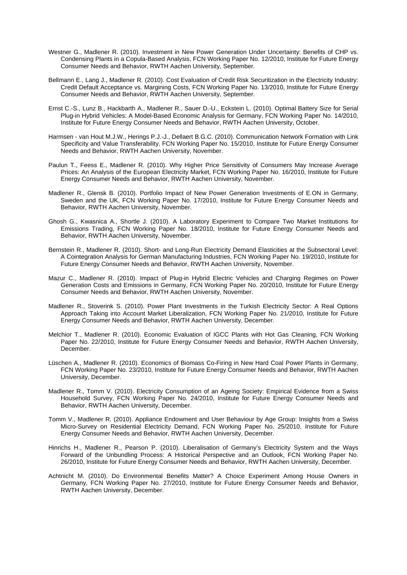- Westner G., Madlener R. (2010). Investment in New Power Generation Under Uncertainty: Benefits of CHP vs. Condensing Plants in a Copula-Based Analysis, FCN Working Paper No. 12/2010, Institute for Future Energy Consumer Needs and Behavior, RWTH Aachen University, September.
- Bellmann E., Lang J., Madlener R. (2010). Cost Evaluation of Credit Risk Securitization in the Electricity Industry: Credit Default Acceptance vs. Margining Costs, FCN Working Paper No. 13/2010, Institute for Future Energy Consumer Needs and Behavior, RWTH Aachen University, September.
- Ernst C.-S., Lunz B., Hackbarth A., Madlener R., Sauer D.-U., Eckstein L. (2010). Optimal Battery Size for Serial Plug-in Hybrid Vehicles: A Model-Based Economic Analysis for Germany, FCN Working Paper No. 14/2010, Institute for Future Energy Consumer Needs and Behavior, RWTH Aachen University, October.
- Harmsen van Hout M.J.W., Herings P.J.-J., Dellaert B.G.C. (2010). Communication Network Formation with Link Specificity and Value Transferability, FCN Working Paper No. 15/2010, Institute for Future Energy Consumer Needs and Behavior, RWTH Aachen University, November.
- Paulun T., Feess E., Madlener R. (2010). Why Higher Price Sensitivity of Consumers May Increase Average Prices: An Analysis of the European Electricity Market, FCN Working Paper No. 16/2010, Institute for Future Energy Consumer Needs and Behavior, RWTH Aachen University, November.
- Madlener R., Glensk B. (2010). Portfolio Impact of New Power Generation Investments of E.ON in Germany, Sweden and the UK, FCN Working Paper No. 17/2010, Institute for Future Energy Consumer Needs and Behavior, RWTH Aachen University, November.
- Ghosh G., Kwasnica A., Shortle J. (2010). A Laboratory Experiment to Compare Two Market Institutions for Emissions Trading, FCN Working Paper No. 18/2010, Institute for Future Energy Consumer Needs and Behavior, RWTH Aachen University, November.
- Bernstein R., Madlener R. (2010). Short- and Long-Run Electricity Demand Elasticities at the Subsectoral Level: A Cointegration Analysis for German Manufacturing Industries, FCN Working Paper No. 19/2010, Institute for Future Energy Consumer Needs and Behavior, RWTH Aachen University, November.
- Mazur C., Madlener R. (2010). Impact of Plug-in Hybrid Electric Vehicles and Charging Regimes on Power Generation Costs and Emissions in Germany, FCN Working Paper No. 20/2010, Institute for Future Energy Consumer Needs and Behavior, RWTH Aachen University, November.
- Madlener R., Stoverink S. (2010). Power Plant Investments in the Turkish Electricity Sector: A Real Options Approach Taking into Account Market Liberalization, FCN Working Paper No. 21/2010, Institute for Future Energy Consumer Needs and Behavior, RWTH Aachen University, December.
- Melchior T., Madlener R. (2010). Economic Evaluation of IGCC Plants with Hot Gas Cleaning, FCN Working Paper No. 22/2010, Institute for Future Energy Consumer Needs and Behavior, RWTH Aachen University, December.
- Lüschen A., Madlener R. (2010). Economics of Biomass Co-Firing in New Hard Coal Power Plants in Germany, FCN Working Paper No. 23/2010, Institute for Future Energy Consumer Needs and Behavior, RWTH Aachen University, December.
- Madlener R., Tomm V. (2010). Electricity Consumption of an Ageing Society: Empirical Evidence from a Swiss Household Survey, FCN Working Paper No. 24/2010, Institute for Future Energy Consumer Needs and Behavior, RWTH Aachen University, December.
- Tomm V., Madlener R. (2010). Appliance Endowment and User Behaviour by Age Group: Insights from a Swiss Micro-Survey on Residential Electricity Demand, FCN Working Paper No. 25/2010, Institute for Future Energy Consumer Needs and Behavior, RWTH Aachen University, December.
- Hinrichs H., Madlener R., Pearson P. (2010). Liberalisation of Germany's Electricity System and the Ways Forward of the Unbundling Process: A Historical Perspective and an Outlook, FCN Working Paper No. 26/2010, Institute for Future Energy Consumer Needs and Behavior, RWTH Aachen University, December.
- Achtnicht M. (2010). Do Environmental Benefits Matter? A Choice Experiment Among House Owners in Germany, FCN Working Paper No. 27/2010, Institute for Future Energy Consumer Needs and Behavior, RWTH Aachen University, December.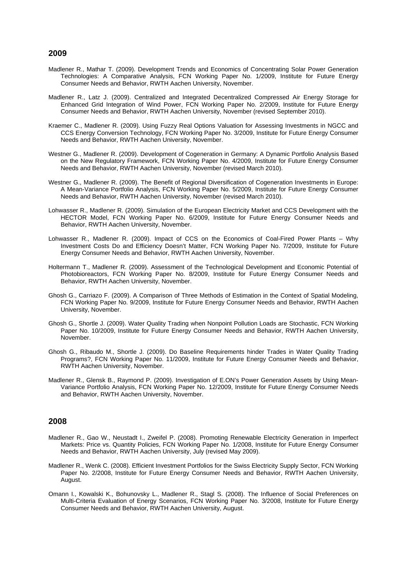#### **2009**

- Madlener R., Mathar T. (2009). Development Trends and Economics of Concentrating Solar Power Generation Technologies: A Comparative Analysis, FCN Working Paper No. 1/2009, Institute for Future Energy Consumer Needs and Behavior, RWTH Aachen University, November.
- Madlener R., Latz J. (2009). Centralized and Integrated Decentralized Compressed Air Energy Storage for Enhanced Grid Integration of Wind Power, FCN Working Paper No. 2/2009, Institute for Future Energy Consumer Needs and Behavior, RWTH Aachen University, November (revised September 2010).
- Kraemer C., Madlener R. (2009). Using Fuzzy Real Options Valuation for Assessing Investments in NGCC and CCS Energy Conversion Technology, FCN Working Paper No. 3/2009, Institute for Future Energy Consumer Needs and Behavior, RWTH Aachen University, November.
- Westner G., Madlener R. (2009). Development of Cogeneration in Germany: A Dynamic Portfolio Analysis Based on the New Regulatory Framework, FCN Working Paper No. 4/2009, Institute for Future Energy Consumer Needs and Behavior, RWTH Aachen University, November (revised March 2010).
- Westner G., Madlener R. (2009). The Benefit of Regional Diversification of Cogeneration Investments in Europe: A Mean-Variance Portfolio Analysis, FCN Working Paper No. 5/2009, Institute for Future Energy Consumer Needs and Behavior, RWTH Aachen University, November (revised March 2010).
- Lohwasser R., Madlener R. (2009). Simulation of the European Electricity Market and CCS Development with the HECTOR Model, FCN Working Paper No. 6/2009, Institute for Future Energy Consumer Needs and Behavior, RWTH Aachen University, November.
- Lohwasser R., Madlener R. (2009). Impact of CCS on the Economics of Coal-Fired Power Plants Why Investment Costs Do and Efficiency Doesn't Matter, FCN Working Paper No. 7/2009, Institute for Future Energy Consumer Needs and Behavior, RWTH Aachen University, November.
- Holtermann T., Madlener R. (2009). Assessment of the Technological Development and Economic Potential of Photobioreactors, FCN Working Paper No. 8/2009, Institute for Future Energy Consumer Needs and Behavior, RWTH Aachen University, November.
- Ghosh G., Carriazo F. (2009). A Comparison of Three Methods of Estimation in the Context of Spatial Modeling, FCN Working Paper No. 9/2009, Institute for Future Energy Consumer Needs and Behavior, RWTH Aachen University, November.
- Ghosh G., Shortle J. (2009). Water Quality Trading when Nonpoint Pollution Loads are Stochastic, FCN Working Paper No. 10/2009, Institute for Future Energy Consumer Needs and Behavior, RWTH Aachen University, November.
- Ghosh G., Ribaudo M., Shortle J. (2009). Do Baseline Requirements hinder Trades in Water Quality Trading Programs?, FCN Working Paper No. 11/2009, Institute for Future Energy Consumer Needs and Behavior, RWTH Aachen University, November.
- Madlener R., Glensk B., Raymond P. (2009). Investigation of E.ON's Power Generation Assets by Using Mean-Variance Portfolio Analysis, FCN Working Paper No. 12/2009, Institute for Future Energy Consumer Needs and Behavior, RWTH Aachen University, November.

### **2008**

- Madlener R., Gao W., Neustadt I., Zweifel P. (2008). Promoting Renewable Electricity Generation in Imperfect Markets: Price vs. Quantity Policies, FCN Working Paper No. 1/2008, Institute for Future Energy Consumer Needs and Behavior, RWTH Aachen University, July (revised May 2009).
- Madlener R., Wenk C. (2008). Efficient Investment Portfolios for the Swiss Electricity Supply Sector, FCN Working Paper No. 2/2008, Institute for Future Energy Consumer Needs and Behavior, RWTH Aachen University, August.
- Omann I., Kowalski K., Bohunovsky L., Madlener R., Stagl S. (2008). The Influence of Social Preferences on Multi-Criteria Evaluation of Energy Scenarios, FCN Working Paper No. 3/2008, Institute for Future Energy Consumer Needs and Behavior, RWTH Aachen University, August.